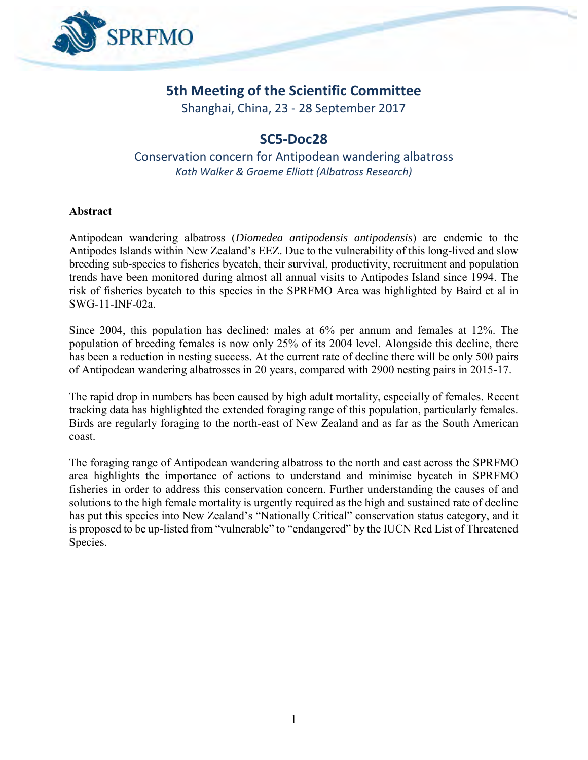

# **5th Meeting of the Scientific Committee**

Shanghai, China, 23 - 28 September 2017

## **SC5-Doc28**

Conservation concern for Antipodean wandering albatross *Kath Walker & Graeme Elliott (Albatross Research)*

#### **Abstract**

Antipodean wandering albatross (*Diomedea antipodensis antipodensis*) are endemic to the Antipodes Islands within New Zealand's EEZ. Due to the vulnerability of this long-lived and slow breeding sub-species to fisheries bycatch, their survival, productivity, recruitment and population trends have been monitored during almost all annual visits to Antipodes Island since 1994. The risk of fisheries bycatch to this species in the SPRFMO Area was highlighted by Baird et al in SWG-11-INF-02a.

Since 2004, this population has declined: males at 6% per annum and females at 12%. The population of breeding females is now only 25% of its 2004 level. Alongside this decline, there has been a reduction in nesting success. At the current rate of decline there will be only 500 pairs of Antipodean wandering albatrosses in 20 years, compared with 2900 nesting pairs in 2015-17.

The rapid drop in numbers has been caused by high adult mortality, especially of females. Recent tracking data has highlighted the extended foraging range of this population, particularly females. Birds are regularly foraging to the north-east of New Zealand and as far as the South American coast.

The foraging range of Antipodean wandering albatross to the north and east across the SPRFMO area highlights the importance of actions to understand and minimise bycatch in SPRFMO fisheries in order to address this conservation concern. Further understanding the causes of and solutions to the high female mortality is urgently required as the high and sustained rate of decline has put this species into New Zealand's "Nationally Critical" conservation status category, and it is proposed to be up-listed from "vulnerable" to "endangered" by the IUCN Red List of Threatened Species.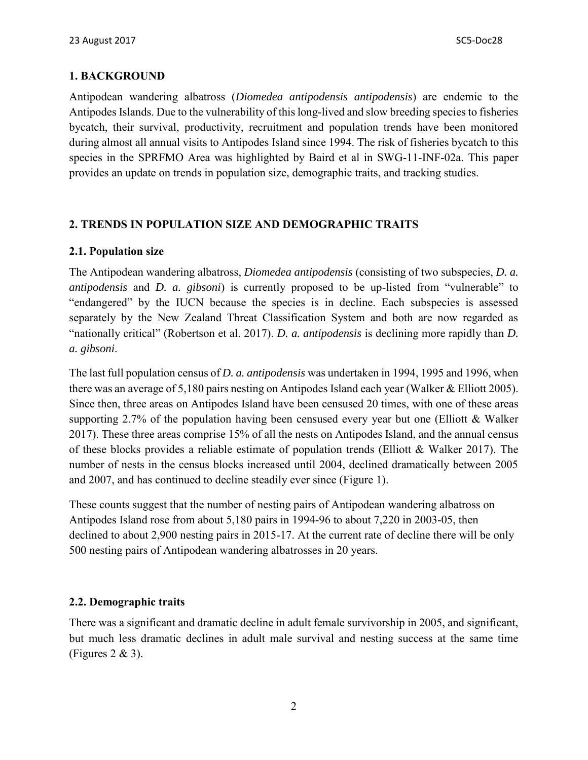### **1. BACKGROUND**

Antipodean wandering albatross (*Diomedea antipodensis antipodensis*) are endemic to the Antipodes Islands. Due to the vulnerability of this long-lived and slow breeding species to fisheries bycatch, their survival, productivity, recruitment and population trends have been monitored during almost all annual visits to Antipodes Island since 1994. The risk of fisheries bycatch to this species in the SPRFMO Area was highlighted by Baird et al in SWG-11-INF-02a. This paper provides an update on trends in population size, demographic traits, and tracking studies.

### **2. TRENDS IN POPULATION SIZE AND DEMOGRAPHIC TRAITS**

#### **2.1. Population size**

The Antipodean wandering albatross, *Diomedea antipodensis* (consisting of two subspecies, *D. a. antipodensis* and *D. a. gibsoni*) is currently proposed to be up-listed from "vulnerable" to "endangered" by the IUCN because the species is in decline. Each subspecies is assessed separately by the New Zealand Threat Classification System and both are now regarded as "nationally critical" (Robertson et al. 2017). *D. a. antipodensis* is declining more rapidly than *D. a. gibsoni*.

The last full population census of *D. a. antipodensis* was undertaken in 1994, 1995 and 1996, when there was an average of 5,180 pairs nesting on Antipodes Island each year (Walker & Elliott 2005). Since then, three areas on Antipodes Island have been censused 20 times, with one of these areas supporting 2.7% of the population having been censused every year but one (Elliott & Walker 2017). These three areas comprise 15% of all the nests on Antipodes Island, and the annual census of these blocks provides a reliable estimate of population trends (Elliott & Walker 2017). The number of nests in the census blocks increased until 2004, declined dramatically between 2005 and 2007, and has continued to decline steadily ever since (Figure 1).

These counts suggest that the number of nesting pairs of Antipodean wandering albatross on Antipodes Island rose from about 5,180 pairs in 1994-96 to about 7,220 in 2003-05, then declined to about 2,900 nesting pairs in 2015-17. At the current rate of decline there will be only 500 nesting pairs of Antipodean wandering albatrosses in 20 years.

### **2.2. Demographic traits**

There was a significant and dramatic decline in adult female survivorship in 2005, and significant, but much less dramatic declines in adult male survival and nesting success at the same time (Figures 2 & 3).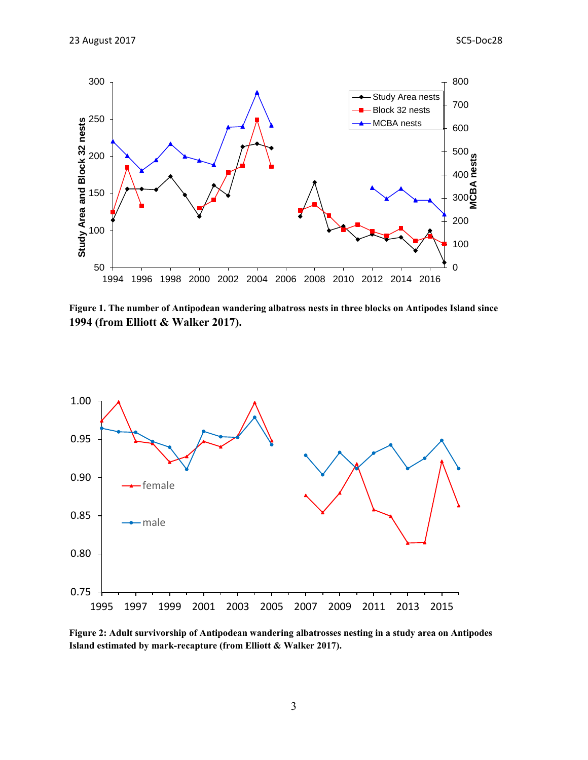

**Figure 1. The number of Antipodean wandering albatross nests in three blocks on Antipodes Island since 1994 (from Elliott & Walker 2017).**



**Figure 2: Adult survivorship of Antipodean wandering albatrosses nesting in a study area on Antipodes Island estimated by mark-recapture (from Elliott & Walker 2017).**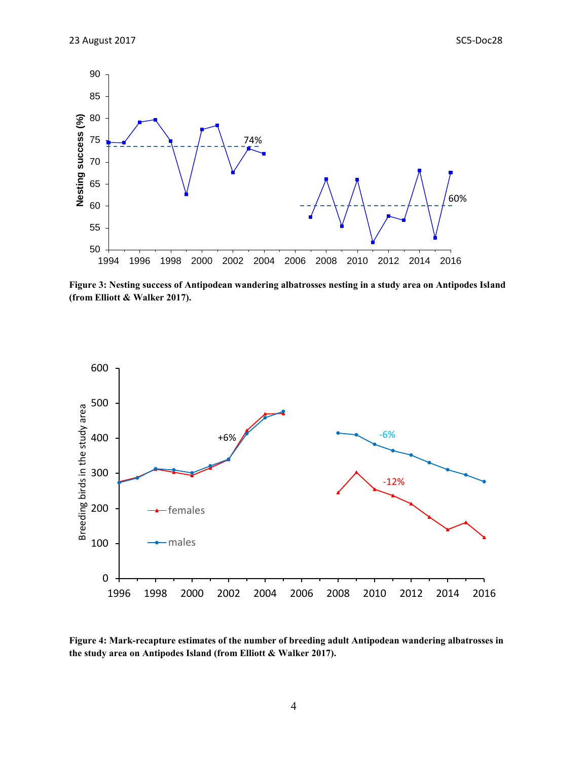

**Figure 3: Nesting success of Antipodean wandering albatrosses nesting in a study area on Antipodes Island (from Elliott & Walker 2017).**



**Figure 4: Mark-recapture estimates of the number of breeding adult Antipodean wandering albatrosses in the study area on Antipodes Island (from Elliott & Walker 2017).**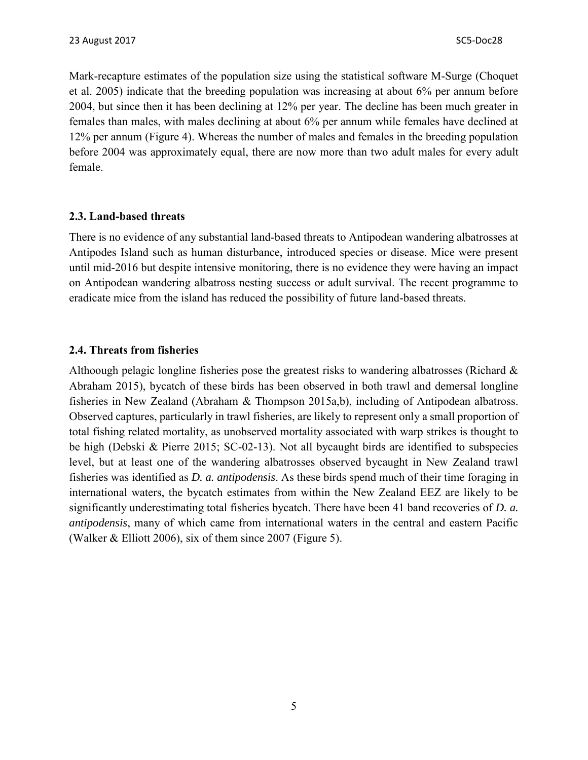Mark-recapture estimates of the population size using the statistical software M-Surge (Choquet et al. 2005) indicate that the breeding population was increasing at about 6% per annum before 2004, but since then it has been declining at 12% per year. The decline has been much greater in females than males, with males declining at about 6% per annum while females have declined at 12% per annum (Figure 4). Whereas the number of males and females in the breeding population before 2004 was approximately equal, there are now more than two adult males for every adult female.

#### **2.3. Land-based threats**

There is no evidence of any substantial land-based threats to Antipodean wandering albatrosses at Antipodes Island such as human disturbance, introduced species or disease. Mice were present until mid-2016 but despite intensive monitoring, there is no evidence they were having an impact on Antipodean wandering albatross nesting success or adult survival. The recent programme to eradicate mice from the island has reduced the possibility of future land-based threats.

#### **2.4. Threats from fisheries**

Althoough pelagic longline fisheries pose the greatest risks to wandering albatrosses (Richard & Abraham 2015), bycatch of these birds has been observed in both trawl and demersal longline fisheries in New Zealand (Abraham & Thompson 2015a,b), including of Antipodean albatross. Observed captures, particularly in trawl fisheries, are likely to represent only a small proportion of total fishing related mortality, as unobserved mortality associated with warp strikes is thought to be high (Debski & Pierre 2015; SC-02-13). Not all bycaught birds are identified to subspecies level, but at least one of the wandering albatrosses observed bycaught in New Zealand trawl fisheries was identified as *D. a. antipodensis*. As these birds spend much of their time foraging in international waters, the bycatch estimates from within the New Zealand EEZ are likely to be significantly underestimating total fisheries bycatch. There have been 41 band recoveries of *D. a. antipodensis*, many of which came from international waters in the central and eastern Pacific (Walker & Elliott 2006), six of them since 2007 (Figure 5).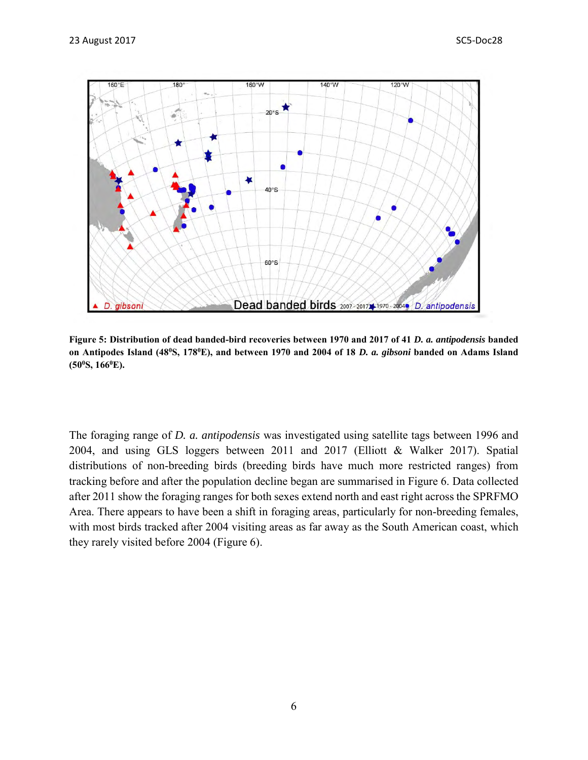

**Figure 5: Distribution of dead banded-bird recoveries between 1970 and 2017 of 41** *D. a. antipodensis* **banded on Antipodes Island (48<sup>0</sup>S, 178<sup>0</sup>E), and between 1970 and 2004 of 18** *D. a. gibsoni* **banded on Adams Island (50<sup>0</sup>S, 166<sup>0</sup>E).**

The foraging range of *D. a. antipodensis* was investigated using satellite tags between 1996 and 2004, and using GLS loggers between 2011 and 2017 (Elliott & Walker 2017). Spatial distributions of non-breeding birds (breeding birds have much more restricted ranges) from tracking before and after the population decline began are summarised in Figure 6. Data collected after 2011 show the foraging ranges for both sexes extend north and east right across the SPRFMO Area. There appears to have been a shift in foraging areas, particularly for non-breeding females, with most birds tracked after 2004 visiting areas as far away as the South American coast, which they rarely visited before 2004 (Figure 6).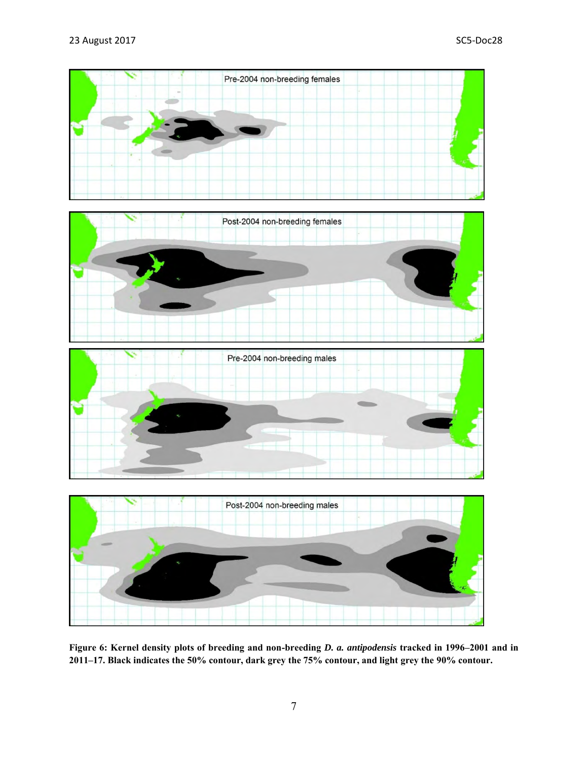

**Figure 6: Kernel density plots of breeding and non-breeding** *D. a. antipodensis* **tracked in 1996–2001 and in 2011–17. Black indicates the 50% contour, dark grey the 75% contour, and light grey the 90% contour.**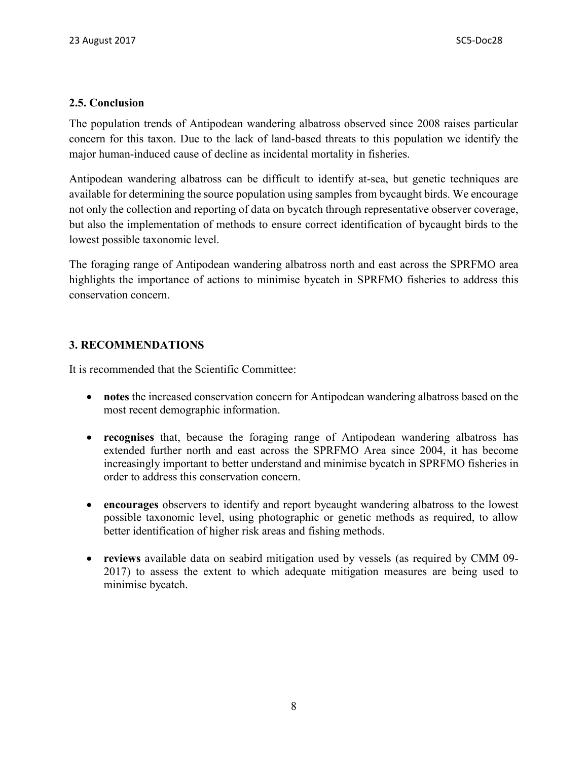#### **2.5. Conclusion**

The population trends of Antipodean wandering albatross observed since 2008 raises particular concern for this taxon. Due to the lack of land-based threats to this population we identify the major human-induced cause of decline as incidental mortality in fisheries.

Antipodean wandering albatross can be difficult to identify at-sea, but genetic techniques are available for determining the source population using samples from bycaught birds. We encourage not only the collection and reporting of data on bycatch through representative observer coverage, but also the implementation of methods to ensure correct identification of bycaught birds to the lowest possible taxonomic level.

The foraging range of Antipodean wandering albatross north and east across the SPRFMO area highlights the importance of actions to minimise bycatch in SPRFMO fisheries to address this conservation concern.

### **3. RECOMMENDATIONS**

It is recommended that the Scientific Committee:

- **notes** the increased conservation concern for Antipodean wandering albatross based on the most recent demographic information.
- **recognises** that, because the foraging range of Antipodean wandering albatross has extended further north and east across the SPRFMO Area since 2004, it has become increasingly important to better understand and minimise bycatch in SPRFMO fisheries in order to address this conservation concern.
- **encourages** observers to identify and report bycaught wandering albatross to the lowest possible taxonomic level, using photographic or genetic methods as required, to allow better identification of higher risk areas and fishing methods.
- **reviews** available data on seabird mitigation used by vessels (as required by CMM 09- 2017) to assess the extent to which adequate mitigation measures are being used to minimise bycatch.